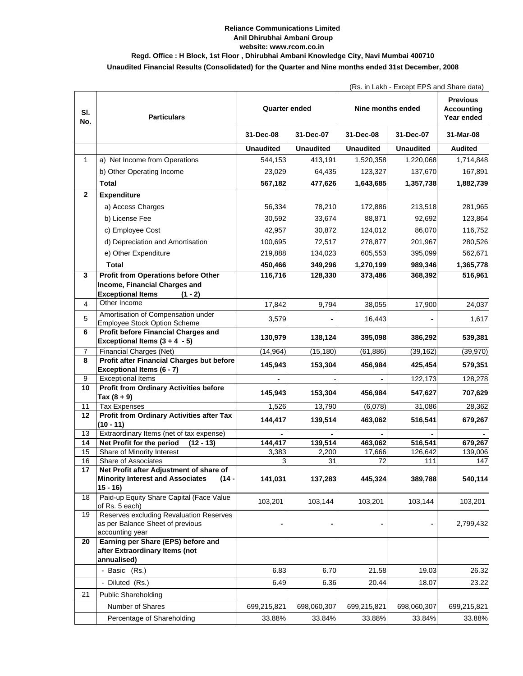## **Reliance Communications Limited Anil Dhirubhai Ambani Group website: www.rcom.co.in**

## **Regd. Office : H Block, 1st Floor , Dhirubhai Ambani Knowledge City, Navi Mumbai 400710**

## **Unaudited Financial Results (Consolidated) for the Quarter and Nine months ended 31st December, 2008**

|  |  |  |  | (Rs. in Lakh - Except EPS and Share data) |  |  |  |  |
|--|--|--|--|-------------------------------------------|--|--|--|--|
|--|--|--|--|-------------------------------------------|--|--|--|--|

| SI.<br>No.     | <b>Particulars</b>                                                                             | <b>Quarter ended</b> |                  | Nine months ended | <b>Previous</b><br><b>Accounting</b><br>Year ended |                    |
|----------------|------------------------------------------------------------------------------------------------|----------------------|------------------|-------------------|----------------------------------------------------|--------------------|
|                |                                                                                                | 31-Dec-08            | 31-Dec-07        | 31-Dec-08         | 31-Dec-07                                          | 31-Mar-08          |
|                |                                                                                                | <b>Unaudited</b>     | <b>Unaudited</b> | <b>Unaudited</b>  | <b>Unaudited</b>                                   | Audited            |
| $\mathbf{1}$   | a) Net Income from Operations                                                                  | 544,153              | 413,191          | 1,520,358         | 1,220,068                                          | 1,714,848          |
|                | b) Other Operating Income                                                                      | 23,029               | 64,435           | 123,327           | 137,670                                            | 167,891            |
|                | Total                                                                                          | 567,182              | 477,626          | 1,643,685         | 1,357,738                                          | 1,882,739          |
| $\overline{2}$ | <b>Expenditure</b>                                                                             |                      |                  |                   |                                                    |                    |
|                | a) Access Charges                                                                              | 56,334               | 78,210           | 172,886           | 213,518                                            | 281,965            |
|                | b) License Fee                                                                                 | 30,592               | 33,674           | 88,871            | 92,692                                             | 123,864            |
|                | c) Employee Cost                                                                               | 42,957               | 30,872           | 124,012           | 86,070                                             | 116,752            |
|                | d) Depreciation and Amortisation                                                               | 100,695              | 72,517           | 278,877           | 201,967                                            | 280,526            |
|                | e) Other Expenditure                                                                           | 219,888              | 134,023          | 605,553           | 395,099                                            | 562,671            |
|                | <b>Total</b>                                                                                   | 450,466              | 349,296          | 1,270,199         | 989,346                                            | 1,365,778          |
| 3              | <b>Profit from Operations before Other</b>                                                     | 116,716              | 128,330          | 373,486           | 368,392                                            | 516,961            |
|                | Income, Financial Charges and<br><b>Exceptional Items</b><br>$(1 - 2)$                         |                      |                  |                   |                                                    |                    |
| $\overline{4}$ | Other Income                                                                                   | 17,842               | 9,794            | 38,055            | 17,900                                             | 24,037             |
| 5              | Amortisation of Compensation under<br><b>Employee Stock Option Scheme</b>                      | 3,579                |                  | 16,443            |                                                    | 1,617              |
| 6              | Profit before Financial Charges and<br>Exceptional Items $(3 + 4 - 5)$                         | 130,979              | 138,124          | 395,098           | 386,292                                            | 539,381            |
| 7              | <b>Financial Charges (Net)</b>                                                                 | (14, 964)            | (15, 180)        | (61, 886)         | (39, 162)                                          | (39, 970)          |
| 8              | Profit after Financial Charges but before                                                      | 145,943              | 153,304          | 456,984           | 425,454                                            | 579,351            |
|                | Exceptional Items (6 - 7)                                                                      |                      |                  |                   |                                                    |                    |
| 9<br>10        | <b>Exceptional Items</b><br><b>Profit from Ordinary Activities before</b>                      |                      |                  |                   | 122,173                                            | 128,278            |
|                | Tax $(8 + 9)$                                                                                  | 145,943              | 153,304          | 456,984           | 547,627                                            | 707,629            |
| 11             | <b>Tax Expenses</b>                                                                            | 1,526                | 13,790           | (6,078)           | 31,086                                             | 28,362             |
| 12             | Profit from Ordinary Activities after Tax<br>$(10 - 11)$                                       | 144,417              | 139,514          | 463,062           | 516,541                                            | 679,267            |
| 13             | Extraordinary Items (net of tax expense)                                                       |                      |                  |                   |                                                    |                    |
| 14<br>15       | Net Profit for the period<br>$(12 - 13)$<br>Share of Minority Interest                         | 144,417<br>3,383     | 139,514<br>2,200 | 463,062<br>17,666 | 516,541<br>126,642                                 | 679,267<br>139,006 |
| 16             | Share of Associates                                                                            | 3                    | 31               | 72                | 111                                                | 147                |
| 17             | Net Profit after Adjustment of share of                                                        |                      |                  |                   |                                                    |                    |
|                | $(14 -$<br><b>Minority Interest and Associates</b><br>$15 - 16$                                | 141,031              | 137,283          | 445,324           | 389,788                                            | 540,114            |
| 18             | Paid-up Equity Share Capital (Face Value<br>of Rs. 5 each)                                     | 103,201              | 103,144          | 103,201           | 103,144                                            | 103,201            |
| 19             | Reserves excluding Revaluation Reserves<br>as per Balance Sheet of previous<br>accounting year |                      |                  |                   |                                                    | 2,799,432          |
| 20             | Earning per Share (EPS) before and<br>after Extraordinary Items (not<br>annualised)            |                      |                  |                   |                                                    |                    |
|                | - Basic (Rs.)                                                                                  | 6.83                 | 6.70             | 21.58             | 19.03                                              | 26.32              |
|                | - Diluted (Rs.)                                                                                | 6.49                 | 6.36             | 20.44             | 18.07                                              | 23.22              |
| 21             | <b>Public Shareholding</b>                                                                     |                      |                  |                   |                                                    |                    |
|                | Number of Shares                                                                               | 699,215,821          | 698,060,307      | 699,215,821       | 698,060,307                                        | 699,215,821        |
|                | Percentage of Shareholding                                                                     | 33.88%               | 33.84%           | 33.88%            | 33.84%                                             | 33.88%             |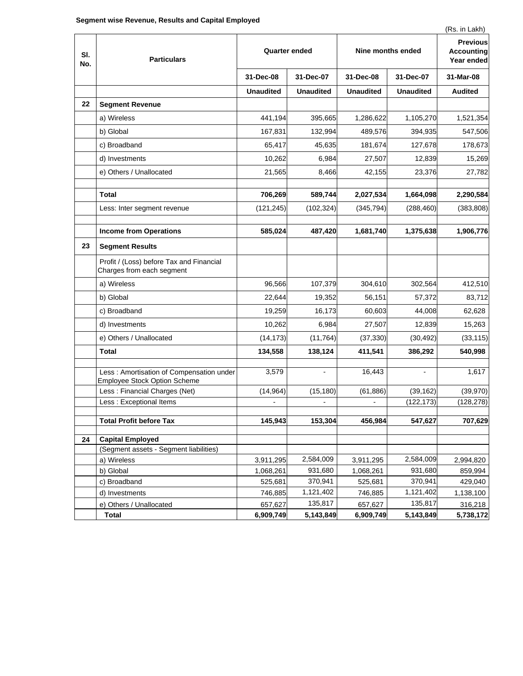|            |                                                                           |                      |                          |                      |                                                    | (Rs. in Lakh)        |
|------------|---------------------------------------------------------------------------|----------------------|--------------------------|----------------------|----------------------------------------------------|----------------------|
| SI.<br>No. | <b>Particulars</b>                                                        | <b>Quarter ended</b> |                          | Nine months ended    | <b>Previous</b><br><b>Accounting</b><br>Year ended |                      |
|            |                                                                           | 31-Dec-08            | 31-Dec-07                | 31-Dec-08            | 31-Dec-07                                          | 31-Mar-08            |
|            |                                                                           | <b>Unaudited</b>     | <b>Unaudited</b>         | <b>Unaudited</b>     | <b>Unaudited</b>                                   | <b>Audited</b>       |
| 22         | <b>Segment Revenue</b>                                                    |                      |                          |                      |                                                    |                      |
|            | a) Wireless                                                               | 441,194              | 395,665                  | 1,286,622            | 1,105,270                                          | 1,521,354            |
|            | b) Global                                                                 | 167,831              | 132,994                  | 489,576              | 394,935                                            | 547,506              |
|            | c) Broadband                                                              | 65,417               | 45,635                   | 181,674              | 127,678                                            | 178,673              |
|            | d) Investments                                                            | 10,262               | 6,984                    | 27,507               | 12,839                                             | 15,269               |
|            | e) Others / Unallocated                                                   | 21,565               | 8,466                    | 42,155               | 23,376                                             | 27,782               |
|            | Total                                                                     | 706,269              | 589,744                  | 2,027,534            | 1,664,098                                          | 2,290,584            |
|            | Less: Inter segment revenue                                               | (121, 245)           | (102, 324)               | (345, 794)           | (288, 460)                                         | (383, 808)           |
|            |                                                                           |                      |                          |                      |                                                    |                      |
|            | <b>Income from Operations</b>                                             | 585,024              | 487,420                  | 1,681,740            | 1,375,638                                          | 1,906,776            |
| 23         | <b>Segment Results</b>                                                    |                      |                          |                      |                                                    |                      |
|            | Profit / (Loss) before Tax and Financial<br>Charges from each segment     |                      |                          |                      |                                                    |                      |
|            | a) Wireless                                                               | 96,566               | 107,379                  | 304,610              | 302,564                                            | 412,510              |
|            | b) Global                                                                 | 22,644               | 19,352                   | 56,151               | 57,372                                             | 83,712               |
|            | c) Broadband                                                              | 19,259               | 16,173                   | 60,603               | 44,008                                             | 62,628               |
|            | d) Investments                                                            | 10,262               | 6,984                    | 27,507               | 12,839                                             | 15,263               |
|            | e) Others / Unallocated                                                   | (14, 173)            | (11, 764)                | (37, 330)            | (30, 492)                                          | (33, 115)            |
|            | Total                                                                     | 134,558              | 138,124                  | 411,541              | 386,292                                            | 540,998              |
|            | Less : Amortisation of Compensation under<br>Employee Stock Option Scheme | 3,579                | $\overline{\phantom{a}}$ | 16,443               |                                                    | 1,617                |
|            | Less: Financial Charges (Net)                                             | (14, 964)            | (15, 180)                | (61, 886)            | (39, 162)                                          | (39, 970)            |
|            | Less : Exceptional Items                                                  |                      |                          |                      | (122, 173)                                         | (128, 278)           |
|            | <b>Total Profit before Tax</b>                                            | 145,943              | 153,304                  | 456,984              | 547,627                                            | 707,629              |
|            |                                                                           |                      |                          |                      |                                                    |                      |
| 24         | <b>Capital Employed</b>                                                   |                      |                          |                      |                                                    |                      |
|            | (Segment assets - Segment liabilities)                                    |                      |                          |                      |                                                    |                      |
|            | a) Wireless                                                               | 3,911,295            | 2,584,009                | 3,911,295            | 2,584,009                                          | 2,994,820            |
|            | b) Global                                                                 | 1,068,261            | 931,680                  | 1,068,261            | 931,680                                            | 859,994              |
|            | c) Broadband                                                              | 525,681              | 370,941                  | 525,681              | 370,941                                            | 429,040              |
|            | d) Investments                                                            | 746,885              | 1,121,402<br>135,817     | 746,885              | 1,121,402<br>135,817                               | 1,138,100            |
|            | e) Others / Unallocated<br><b>Total</b>                                   | 657,627<br>6,909,749 | 5,143,849                | 657,627<br>6,909,749 | 5,143,849                                          | 316,218<br>5,738,172 |
|            |                                                                           |                      |                          |                      |                                                    |                      |